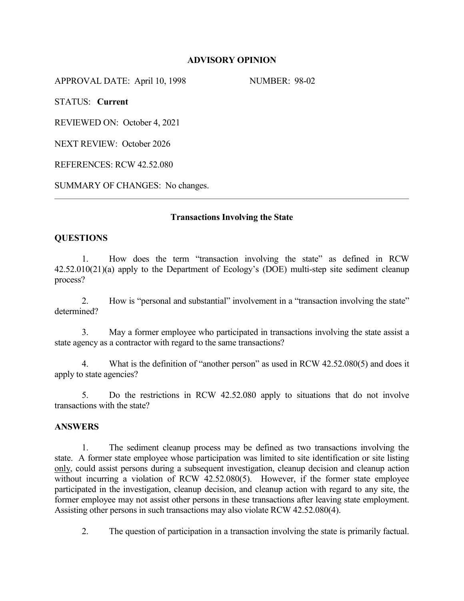#### **ADVISORY OPINION**

APPROVAL DATE: April 10, 1998 NUMBER: 98-02

STATUS: **Current**

REVIEWED ON: October 4, 2021

NEXT REVIEW: October 2026

REFERENCES: RCW 42.52.080

SUMMARY OF CHANGES: No changes.

# **Transactions Involving the State**

# **QUESTIONS**

1. How does the term "transaction involving the state" as defined in RCW 42.52.010(21)(a) apply to the Department of Ecology's (DOE) multi-step site sediment cleanup process?

2. How is "personal and substantial" involvement in a "transaction involving the state" determined?

3. May a former employee who participated in transactions involving the state assist a state agency as a contractor with regard to the same transactions?

4. What is the definition of "another person" as used in RCW 42.52.080(5) and does it apply to state agencies?

5. Do the restrictions in RCW 42.52.080 apply to situations that do not involve transactions with the state?

#### **ANSWERS**

1. The sediment cleanup process may be defined as two transactions involving the state. A former state employee whose participation was limited to site identification or site listing only, could assist persons during a subsequent investigation, cleanup decision and cleanup action without incurring a violation of RCW 42.52.080(5). However, if the former state employee participated in the investigation, cleanup decision, and cleanup action with regard to any site, the former employee may not assist other persons in these transactions after leaving state employment. Assisting other persons in such transactions may also violate RCW 42.52.080(4).

2. The question of participation in a transaction involving the state is primarily factual.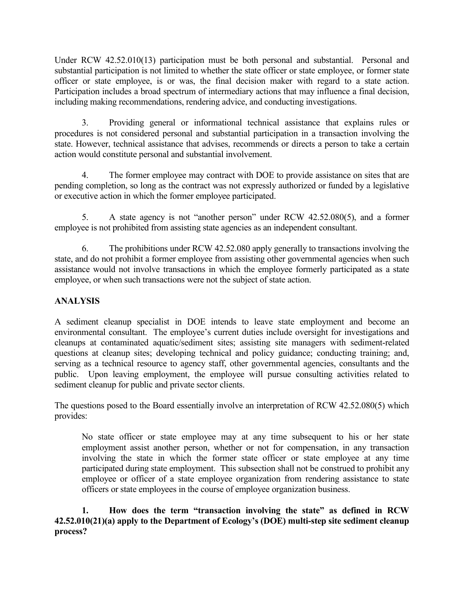Under RCW 42.52.010(13) participation must be both personal and substantial. Personal and substantial participation is not limited to whether the state officer or state employee, or former state officer or state employee, is or was, the final decision maker with regard to a state action. Participation includes a broad spectrum of intermediary actions that may influence a final decision, including making recommendations, rendering advice, and conducting investigations.

3. Providing general or informational technical assistance that explains rules or procedures is not considered personal and substantial participation in a transaction involving the state. However, technical assistance that advises, recommends or directs a person to take a certain action would constitute personal and substantial involvement.

4. The former employee may contract with DOE to provide assistance on sites that are pending completion, so long as the contract was not expressly authorized or funded by a legislative or executive action in which the former employee participated.

5. A state agency is not "another person" under RCW 42.52.080(5), and a former employee is not prohibited from assisting state agencies as an independent consultant.

6. The prohibitions under RCW 42.52.080 apply generally to transactions involving the state, and do not prohibit a former employee from assisting other governmental agencies when such assistance would not involve transactions in which the employee formerly participated as a state employee, or when such transactions were not the subject of state action.

# **ANALYSIS**

A sediment cleanup specialist in DOE intends to leave state employment and become an environmental consultant. The employee's current duties include oversight for investigations and cleanups at contaminated aquatic/sediment sites; assisting site managers with sediment-related questions at cleanup sites; developing technical and policy guidance; conducting training; and, serving as a technical resource to agency staff, other governmental agencies, consultants and the public. Upon leaving employment, the employee will pursue consulting activities related to sediment cleanup for public and private sector clients.

The questions posed to the Board essentially involve an interpretation of RCW 42.52.080(5) which provides:

No state officer or state employee may at any time subsequent to his or her state employment assist another person, whether or not for compensation, in any transaction involving the state in which the former state officer or state employee at any time participated during state employment. This subsection shall not be construed to prohibit any employee or officer of a state employee organization from rendering assistance to state officers or state employees in the course of employee organization business.

**1. How does the term "transaction involving the state" as defined in RCW 42.52.010(21)(a) apply to the Department of Ecology's (DOE) multi-step site sediment cleanup process?**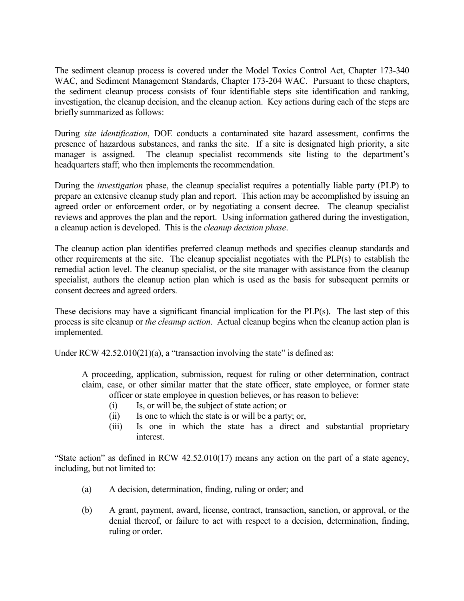The sediment cleanup process is covered under the Model Toxics Control Act, Chapter 173-340 WAC, and Sediment Management Standards, Chapter 173-204 WAC. Pursuant to these chapters, the sediment cleanup process consists of four identifiable steps–site identification and ranking, investigation, the cleanup decision, and the cleanup action. Key actions during each of the steps are briefly summarized as follows:

During *site identification*, DOE conducts a contaminated site hazard assessment, confirms the presence of hazardous substances, and ranks the site. If a site is designated high priority, a site manager is assigned. The cleanup specialist recommends site listing to the department's headquarters staff; who then implements the recommendation.

During the *investigation* phase, the cleanup specialist requires a potentially liable party (PLP) to prepare an extensive cleanup study plan and report. This action may be accomplished by issuing an agreed order or enforcement order, or by negotiating a consent decree. The cleanup specialist reviews and approves the plan and the report. Using information gathered during the investigation, a cleanup action is developed. This is the *cleanup decision phase*.

The cleanup action plan identifies preferred cleanup methods and specifies cleanup standards and other requirements at the site. The cleanup specialist negotiates with the PLP(s) to establish the remedial action level. The cleanup specialist, or the site manager with assistance from the cleanup specialist, authors the cleanup action plan which is used as the basis for subsequent permits or consent decrees and agreed orders.

These decisions may have a significant financial implication for the PLP(s). The last step of this process is site cleanup or *the cleanup action*. Actual cleanup begins when the cleanup action plan is implemented.

Under RCW  $42.52.010(21)(a)$ , a "transaction involving the state" is defined as:

A proceeding, application, submission, request for ruling or other determination, contract claim, case, or other similar matter that the state officer, state employee, or former state officer or state employee in question believes, or has reason to believe:

- (i) Is, or will be, the subject of state action; or
- (ii) Is one to which the state is or will be a party; or,
- (iii) Is one in which the state has a direct and substantial proprietary interest.

"State action" as defined in RCW 42.52.010(17) means any action on the part of a state agency, including, but not limited to:

- (a) A decision, determination, finding, ruling or order; and
- (b) A grant, payment, award, license, contract, transaction, sanction, or approval, or the denial thereof, or failure to act with respect to a decision, determination, finding, ruling or order.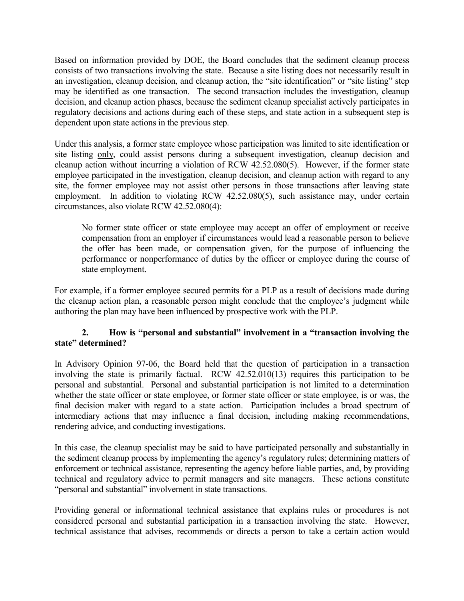Based on information provided by DOE, the Board concludes that the sediment cleanup process consists of two transactions involving the state. Because a site listing does not necessarily result in an investigation, cleanup decision, and cleanup action, the "site identification" or "site listing" step may be identified as one transaction. The second transaction includes the investigation, cleanup decision, and cleanup action phases, because the sediment cleanup specialist actively participates in regulatory decisions and actions during each of these steps, and state action in a subsequent step is dependent upon state actions in the previous step.

Under this analysis, a former state employee whose participation was limited to site identification or site listing only, could assist persons during a subsequent investigation, cleanup decision and cleanup action without incurring a violation of RCW 42.52.080(5). However, if the former state employee participated in the investigation, cleanup decision, and cleanup action with regard to any site, the former employee may not assist other persons in those transactions after leaving state employment. In addition to violating RCW 42.52.080(5), such assistance may, under certain circumstances, also violate RCW 42.52.080(4):

No former state officer or state employee may accept an offer of employment or receive compensation from an employer if circumstances would lead a reasonable person to believe the offer has been made, or compensation given, for the purpose of influencing the performance or nonperformance of duties by the officer or employee during the course of state employment.

For example, if a former employee secured permits for a PLP as a result of decisions made during the cleanup action plan, a reasonable person might conclude that the employee's judgment while authoring the plan may have been influenced by prospective work with the PLP.

# **2. How is "personal and substantial" involvement in a "transaction involving the state" determined?**

In Advisory Opinion 97-06, the Board held that the question of participation in a transaction involving the state is primarily factual. RCW 42.52.010(13) requires this participation to be personal and substantial. Personal and substantial participation is not limited to a determination whether the state officer or state employee, or former state officer or state employee, is or was, the final decision maker with regard to a state action. Participation includes a broad spectrum of intermediary actions that may influence a final decision, including making recommendations, rendering advice, and conducting investigations.

In this case, the cleanup specialist may be said to have participated personally and substantially in the sediment cleanup process by implementing the agency's regulatory rules; determining matters of enforcement or technical assistance, representing the agency before liable parties, and, by providing technical and regulatory advice to permit managers and site managers. These actions constitute "personal and substantial" involvement in state transactions.

Providing general or informational technical assistance that explains rules or procedures is not considered personal and substantial participation in a transaction involving the state. However, technical assistance that advises, recommends or directs a person to take a certain action would